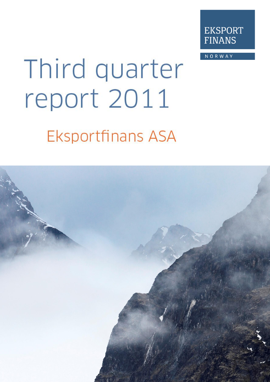

**NORWAY** 

# Third quarter report 2011

## **Eksportfinans ASA**

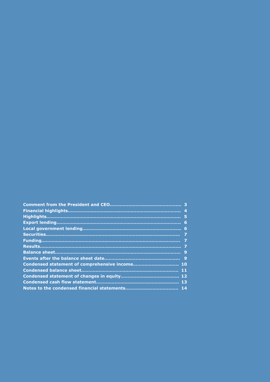|                                                | 6              |
|------------------------------------------------|----------------|
|                                                |                |
|                                                |                |
|                                                | $\overline{7}$ |
|                                                |                |
|                                                |                |
|                                                |                |
| Condensed statement of comprehensive income 10 |                |
|                                                | 11             |
|                                                |                |
|                                                |                |
|                                                |                |
|                                                |                |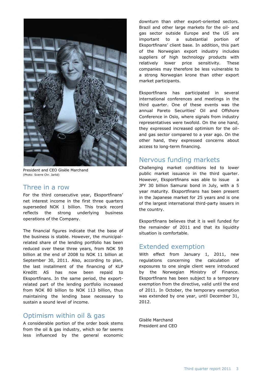

President and CEO Gisèle Marchand (Photo: Sverre Chr. Jarlid)

#### Three in a row

For the third consecutive year, Eksportfinans' net interest income in the first three quarters superseded NOK 1 billion. This track record reflects the strong underlying business operations of the Company.

The financial figures indicate that the base of the business is stable. However, the municipalrelated share of the lending portfolio has been reduced over these three years, from NOK 59 billion at the end of 2008 to NOK 11 billion at September 30, 2011. Also, according to plan, the last installment of the financing of KLP Kreditt AS has now been repaid to Eksportfinans. In the same period, the exportrelated part of the lending portfolio increased from NOK 80 billion to NOK 113 billion, thus maintaining the lending base necessary to sustain a sound level of income.

#### Optimism within oil & gas

A considerable portion of the order book stems from the oil & gas industry, which so far seems less influenced by the general economic

downturn than other export-oriented sectors. Brazil and other large markets for the oil- and gas sector outside Europe and the US are important to a substantial portion of Eksportfinans' client base. In addition, this part of the Norwegian export industry includes suppliers of high technology products with relatively lower price sensitivity. These companies may therefore be less vulnerable to a strong Norwegian krone than other export market participants.

Eksportfinans has participated in several international conferences and meetings in the third quarter. One of these events was the annual Pareto Securities' Oil and Offshore Conference in Oslo, where signals from industry representatives were twofold. On the one hand, they expressed increased optimism for the oiland gas sector compared to a year ago. On the other hand, they expressed concerns about access to long-term financing.

#### Nervous funding markets

Challenging market conditions led to lower public market issuance in the third quarter. However, Eksportfinans was able to issue a JPY 30 billion Samurai bond in July, with a 5 year maturity. Eksportfinans has been present in the Japanese market for 25 years and is one of the largest international third-party issuers in the country.

Eksportfinans believes that it is well funded for the remainder of 2011 and that its liquidity situation is comfortable.

#### Extended exemption

With effect from January 1, 2011, new regulations concerning the calculation of exposures to one single client were introduced by the Norwegian Ministry of Finance. Eksportfinans has been subject to a temporary exemption from the directive, valid until the end of 2011. In October, the temporary exemption was extended by one year, until December 31, 2012.

Gisèle Marchand President and CEO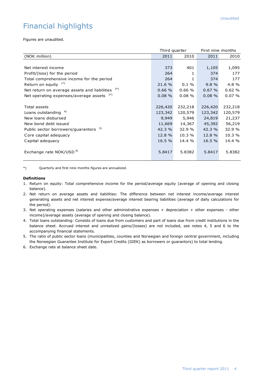## Financial highlights

Figures are unaudited.

|                                                     | Third quarter |          | First nine months |         |
|-----------------------------------------------------|---------------|----------|-------------------|---------|
| (NOK million)                                       | 2011          | 2010     | 2011              | 2010    |
|                                                     |               |          |                   |         |
| Net interest income                                 | 373           | 401      | 1,105             | 1,095   |
| Profit/(loss) for the period                        | 264           | 1        | 374               | 177     |
| Total comprehensive income for the period           | 264           | 1        | 374               | 177     |
| Return on equity $1^*$                              | 21.6 %        | $0.1 \%$ | 9.8%              | 4.8%    |
| 2*)<br>Net return on average assets and liabilities | 0.66%         | 0.66%    | 0.67%             | 0.62%   |
| Net operating expenses/average assets $3*$ )        | 0.08%         | 0.08%    | $0.08 \%$         | 0.07%   |
|                                                     |               |          |                   |         |
| Total assets                                        | 226,420       | 232,218  | 226,420           | 232,218 |
| Loans outstanding                                   | 123,342       | 120,579  | 123,342           | 120,579 |
| New loans disbursed                                 | 9,949         | 5,946    | 24,819            | 21,237  |
| New bond debt issued                                | 11,669        | 14,367   | 45,392            | 56,219  |
| Public sector borrowers/guarantors 5)               | 42.3 %        | 32.9 %   | 42.3 %            | 32.9 %  |
| Core capital adequacy                               | 12.8 %        | 10.3 %   | 12.8 %            | 10.3 %  |
| Capital adequacy                                    | 16.5 %        | 14.4 %   | 16.5 %            | 14.4 %  |
|                                                     |               |          |                   |         |
| Exchange rate NOK/USD <sup>6)</sup>                 | 5.8417        | 5.8382   | 5.8417            | 5.8382  |
|                                                     |               |          |                   |         |

\*) Quarterly and first nine months figures are annualized.

#### **Definitions**

- 1. Return on equity: Total comprehensive income for the period/average equity (average of opening and closing balance).
- 2. Net return on average assets and liabilities: The difference between net interest income/average interest generating assets and net interest expense/average interest bearing liabilities (average of daily calculations for the period).
- 3. Net operating expenses (salaries and other administrative expenses + depreciation + other expenses other income)/average assets (average of opening and closing balance).
- 4. Total loans outstanding: Consists of loans due from customers and part of loans due from credit institutions in the balance sheet. Accrued interest and unrealized gains/(losses) are not included, see notes 4, 5 and 6 to the accompanying financial statements.
- 5. The ratio of public sector loans (municipalities, counties and Norwegian and foreign central government, including the Norwegian Guarantee Institute for Export Credits (GIEK) as borrowers or guarantors) to total lending.
- 6. Exchange rate at balance sheet date.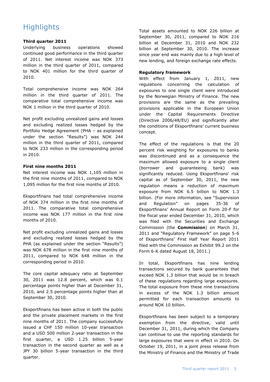## **Highlights**

#### **Third quarter 2011**

Underlying business operations showed continued good performance in the third quarter of 2011. Net interest income was NOK 373 million in the third quarter of 2011, compared to NOK 401 million for the third quarter of 2010.

Total comprehensive income was NOK 264 million in the third quarter of 2011. The comparative total comprehensive income was NOK 1 million in the third quarter of 2010.

Net profit excluding unrealized gains and losses and excluding realized losses hedged by the Portfolio Hedge Agreement (PHA – as explained under the section "Results") was NOK 244 million in the third quarter of 2011, compared to NOK 233 million in the corresponding period in 2010.

#### **First nine months 2011**

Net interest income was NOK 1,105 million in the first nine months of 2011, compared to NOK 1,095 million for the first nine months of 2010.

Eksportfinans had total comprehensive income of NOK 374 million in the first nine months of 2011. The comparative total comprehensive income was NOK 177 million in the first nine months of 2010.

Net profit excluding unrealized gains and losses and excluding realized losses hedged by the PHA (as explained under the section "Results") was NOK 678 million in the first nine months of 2011, compared to NOK 648 million in the corresponding period in 2010.

The core capital adequacy ratio at September 30, 2011 was 12.8 percent, which was 0.1 percentage points higher than at December 31, 2010, and 2.5 percentage points higher than at September 30, 2010.

Eksportfinans has been active in both the public and the private placement markets in the first nine months of 2011. The company successfully issued a CHF 150 million 10-year transaction and a USD 500 million 2-year transaction in the first quarter, a USD 1.25 billion 5-year transaction in the second quarter as well as a JPY 30 billion 5-year transaction in the third quarter.

Total assets amounted to NOK 226 billion at September 30, 2011, compared to NOK 216 billion at December 31, 2010 and NOK 232 billion at September 30, 2010. The increase since year end was mainly due to a high level of new lending, and foreign exchange rate effects.

#### **Regulatory framework**

With effect from January 1, 2011, new regulations concerning the calculation of exposures to one single client were introduced by the Norwegian Ministry of Finance. The new provisions are the same as the prevailing provisions applicable in the European Union under the Capital Requirements Directive (Directive 2006/48/EU) and significantly alter the conditions of Eksportfinans' current business concept.

The effect of the regulations is that the 20 percent risk weighting for exposures to banks was discontinued and as a consequence the maximum allowed exposure to a single client (borrower and guaranteeing bank) was significantly reduced. Using Eksportfinans' risk capital as of September 30, 2011, the new regulation means a reduction of maximum exposure from NOK 6.5 billion to NOK 1.3 billion. (For more information, see "Supervision and Regulation" on pages 35-36 of Eksportfinans' Annual Report on Form 20-F for the fiscal year ended December 31, 2010, which was filed with the Securities and Exchange Commission (the **Commission**) on March 31, 2011 and "Regulatory Framework" on page 5-6 of Eksportfinans' First Half Year Report 2011 filed with the Commission as Exhibit 99.2 on the Form 6-K dated August 18, 2011.)

In total, Eksportfinans has nine lending transactions secured by bank guarantees that exceed NOK 1.3 billion that would be in breach of these regulations regarding large exposures. The total exposure from these nine transactions in excess of the NOK 1.3 billion amount permitted for each transaction amounts to around NOK 10 billion.

Eksportfinans has been subject to a temporary exemption from the directive, valid until December 31, 2011, during which the Company can continue to use the reporting standards for large exposures that were in effect in 2010. On October 19, 2011, in a joint press release from the Ministry of Finance and the Ministry of Trade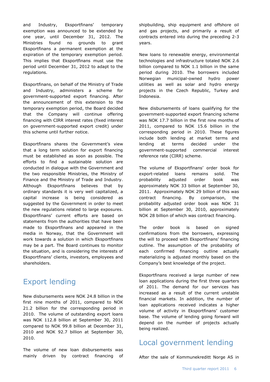and Industry, Eksportfinans' temporary exemption was announced to be extended by one year, until December 31, 2012. The Ministries found no grounds to grant Eksportfinans a permanent exemption at the expiration of the temporary exemption period. This implies that Eksportfinans must use the period until December 31, 2012 to adapt to the regulations.

Eksportfinans, on behalf of the Ministry of Trade and Industry, administers a scheme for government-supported export financing. After the announcement of this extension to the temporary exemption period, the Board decided that the Company will continue offering financing with CIRR interest rates (fixed interest on government-supported export credit) under this scheme until further notice.

Eksportfinans shares the Government's view that a long term solution for export financing must be established as soon as possible. The efforts to find a sustainable solution are conducted in dialogue with the Government and the two responsible Ministries, the Ministry of Finance and the Ministry of Trade and Industry. Although Eksportfinans believes that by ordinary standards it is very well capitalized, a capital increase is being considered as suggested by the Government in order to meet the new regulations related to large exposures. Eksportfinans' current efforts are based on statements from the authorities that have been made to Eksportfinans and appeared in the media in Norway, that the Government will work towards a solution in which Eksportfinans may be a part. The Board continues to monitor the situation, and is considering the interests of Eksportfinans' clients, investors, employees and shareholders.

## Export lending

New disbursements were NOK 24.8 billion in the first nine months of 2011, compared to NOK 21.2 billion for the corresponding period in 2010. The volume of outstanding export loans was NOK 112.8 billion at September 30, 2011 compared to NOK 99.8 billion at December 31, 2010 and NOK 92.7 billion at September 30, 2010.

The volume of new loan disbursements was mainly driven by contract financing of

shipbuilding, ship equipment and offshore oil and gas projects, and primarily a result of contracts entered into during the preceding 2-3 years.

New loans to renewable energy, environmental technologies and infrastructure totaled NOK 2.6 billion compared to NOK 1.1 billion in the same period during 2010. The borrowers included Norwegian municipal-owned hydro power utilities as well as solar and hydro energy projects in the Czech Republic, Turkey and Indonesia.

New disbursements of loans qualifying for the government-supported export financing scheme was NOK 17.7 billion in the first nine months of 2011, compared to NOK 15.6 billion in the corresponding period in 2010. These figures include both lending at market terms and lending at terms decided under the government-supported commercial interest reference rate (CIRR) scheme.

The volume of Eksportfinans' order book for export-related loans remains solid. The probability adjusted order book was approximately NOK 33 billion at September 30, 2011. Approximately NOK 29 billion of this was contract financing. By comparison, the probability adjusted order book was NOK 31 billion at September 30, 2010, approximately NOK 28 billion of which was contract financing.

The order book is based on signed confirmations from the borrowers, expressing the will to proceed with Eksportfinans' financing outline. The assumption of the probability of each confirmed financing outline actually materializing is adjusted monthly based on the Company's best knowledge of the project.

Eksportfinans received a large number of new loan applications during the first three quarters of 2011. The demand for our services has increased as a result of the current unstable financial markets. In addition, the number of loan applications received indicates a higher volume of activity in Eksportfinans' customer base. The volume of lending going forward will depend on the number of projects actually being realized.

## Local government lending

After the sale of Kommunekreditt Norge AS in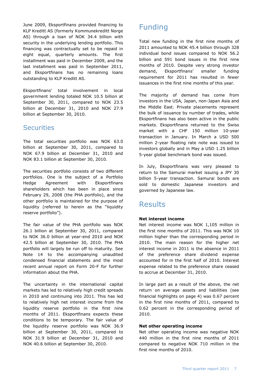June 2009, Eksportfinans provided financing to KLP Kreditt AS (formerly Kommunekreditt Norge AS) through a loan of NOK 34.4 billion with security in the underlying lending portfolio. This financing was contractually set to be repaid in eight equal, quarterly amounts. The first installment was paid in December 2009, and the last installment was paid in September 2011, and Eksportfinans has no remaining loans outstanding to KLP Kreditt AS.

Eksportfinans' total involvement in local government lending totaled NOK 10.5 billion at September 30, 2011, compared to NOK 23.5 billion at December 31, 2010 and NOK 27.9 billion at September 30, 2010.

#### **Securities**

The total securities portfolio was NOK 63.0 billion at September 30, 2011, compared to NOK 67.9 billion at December 31, 2010 and NOK 83.1 billion at September 30, 2010.

The securities portfolio consists of two different portfolios. One is the subject of a Portfolio Hedge Agreement with Eksportfinans shareholders which has been in place since February 29, 2008 (the PHA portfolio), and the other portfolio is maintained for the purpose of liquidity (referred to herein as the "liquidity reserve portfolio").

The fair value of the PHA portfolio was NOK 26.1 billion at September 30, 2011, compared to NOK 36.0 billion at year-end 2010 and NOK 42.5 billion at September 30, 2010. The PHA portfolio will largely be run off to maturity. See Note 14 to the accompanying unaudited condensed financial statements and the most recent annual report on Form 20-F for further information about the PHA.

The uncertainty in the international capital markets has led to relatively high credit spreads in 2010 and continuing into 2011. This has led to relatively high net interest income from the liquidity reserve portfolio in the first nine months of 2011. Eksportfinans expects these conditions to be temporary. The fair value of the liquidity reserve portfolio was NOK 36.9 billion at September 30, 2011, compared to NOK 31.9 billion at December 31, 2010 and NOK 40.6 billion at September 30, 2010.

## Funding

Total new funding in the first nine months of 2011 amounted to NOK 45.4 billion through 328 individual bond issues compared to NOK 56.2 billion and 591 bond issues in the first nine months of 2010. Despite very strong investor demand, Eksportfinans' smaller funding requirement for 2011 has resulted in fewer issuances in the first nine months of this year.

The majority of demand has come from investors in the USA, Japan, non-Japan Asia and the Middle East. Private placements represent the bulk of issuance by number of trades, while Eksportfinans has also been active in the public markets. Eksportfinans returned to the Swiss market with a CHF 150 million 10-year transaction in January. In March a USD 500 million 2-year floating rate note was issued to investors globally and in May a USD 1.25 billion 5-year global benchmark bond was issued.

In July, Eksportfinans was very pleased to return to the Samurai market issuing a JPY 30 billion 5-year transaction. Samurai bonds are sold to domestic Japanese investors and governed by Japanese law.

## **Results**

#### **Net interest income**

Net interest income was NOK 1,105 million in the first nine months of 2011. This was NOK 10 million higher than the corresponding period in 2010. The main reason for the higher net interest income in 2011 is the absence in 2011 of the preference share dividend expense accounted for in the first half of 2010. Interest expense related to the preference share ceased to accrue at December 31, 2010.

In large part as a result of the above, the net return on average assets and liabilities (see financial highlights on page 4) was 0.67 percent in the first nine months of 2011, compared to 0.62 percent in the corresponding period of 2010.

#### **Net other operating income**

Net other operating income was negative NOK 440 million in the first nine months of 2011 compared to negative NOK 710 million in the first nine months of 2010.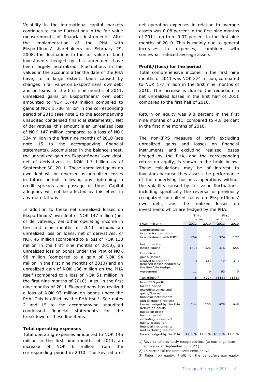Volatility in the international capital markets continues to cause fluctuations in the fair value measurements of financial instruments. After the implementation of the PHA with Eksportfinans' shareholders on February 29, 2008, the fluctuations in the fair value of bond investments hedged by this agreement have been largely neutralized. Fluctuations in fair values in the accounts after the date of the PHA have, to a large extent, been caused by changes in fair value on Eksportfinans' own debt and on loans. In the first nine months of 2011, unrealized gains on Eksportfinans' own debt amounted to NOK 3,740 million compared to gains of NOK 1,780 million in the corresponding period of 2010 (see note 2 to the accompanying unaudited condensed financial statements). Net of derivatives, this amount is an unrealized loss of NOK 147 million compared to a loss of NOK 534 million in the first nine months of 2010 (see note 15 to the accompanying financial statements). Accumulated in the balance sheet, the unrealized gain on Eksportfinans' own debt, net of derivatives, is NOK 1.3 billion as of September 30, 2011. These unrealized gains on own debt will be reversed as unrealized losses in future periods following any tightening in credit spreads and passage of time. Capital adequacy will not be affected by this effect in any material way.

In addition to these net unrealized losses on Eksportfinans' own debt of NOK 147 million (net of derivatives), net other operating income in the first nine months of 2011 included an unrealized loss on loans, net of derivatives, of NOK 45 million (compared to a loss of NOK 130 million in the first nine months of 2010), an unrealized loss on bonds under the PHA of NOK 98 million (compared to a gain of NOK 94 million in the first nine months of 2010) and an unrealized gain of NOK 136 million on the PHA itself (compared to a loss of NOK 51 million in the first nine months of 2010). Also, in the first nine months of 2011 Eksportfinans has realized a loss of NOK 93 million on bonds under the PHA. This is offset by the PHA itself. See notes 2 and 15 to the accompanying unaudited condensed financial statements for the breakdown of these line items.

#### **Total operating expenses**

Total operating expenses amounted to NOK 145 million in the first nine months of 2011, an increase of NOK 6 million from the corresponding period in 2010. The key ratio of

net operating expenses in relation to average assets was 0.08 percent in the first nine months of 2011, up from 0.07 percent in the first nine months of 2010. This is mainly due to general increases in expenses, combined with somewhat reduced average assets.

#### **Profit/(loss) for the period**

Total comprehensive income in the first nine months of 2011 was NOK 374 million, compared to NOK 177 million in the first nine months of 2010. The increase is due to the reduction in net unrealized losses in the first half of 2011 compared to the first half of 2010.

Return on equity was 9.8 percent in the first nine months of 2011, compared to 4.8 percent in the first nine months of 2010.

The non-IFRS measure of profit excluding unrealized gains and losses on financial instruments and excluding realized losses hedged by the PHA, and the corresponding return on equity, is shown in the table below. These calculations may be of interest to investors because they assess the performance of the underlying business operations without the volatility caused by fair value fluctuations, including specifically the reversal of previously recognized unrealized gains on Eksportfinans' own debt, and the realized losses on investments which are hedged by the PHA.

|                                                                                                                                                       | Third<br>First |        |             |       |
|-------------------------------------------------------------------------------------------------------------------------------------------------------|----------------|--------|-------------|-------|
|                                                                                                                                                       | quarter        |        | nine months |       |
| (NOK million)                                                                                                                                         | 2011           | 2010   | 2011        | 2010  |
| Comprehensive<br>income for the period                                                                                                                |                |        |             |       |
| in accordance with IFRS                                                                                                                               | 264            | 1      | 374         | 177   |
| Net unrealized<br>losses/(gains)                                                                                                                      | (42)           | 326    | 316         | 655   |
| Unrealized<br>gains/(losses)<br>related to Iceland <sup>1)</sup><br>Realized losses hedged by                                                         | 3              | (4)    | 12          | (0)   |
| the Portfolio Hedge<br>Agreement <sup>4)</sup>                                                                                                        | 11             | 0      | 93          | 0     |
| Tax-effect <sup>2)</sup>                                                                                                                              | 8              | (90)   | (118)       | (183) |
| Non-IFRS profit<br>for the period<br>excluding unrealized<br>gains/(losses) on<br>financial instruments<br>and excluding realized                     |                |        |             |       |
| losses hedged by the PHA                                                                                                                              | 244            | 233    | 678         | 648   |
| Return on equity<br>based on profit<br>for the period<br>excluding unrealized<br>gains/(losses) on<br>financial instruments<br>and excluding realized |                |        |             |       |
| losses hedged by the PHA                                                                                                                              | 17.5 %         | 17.9 % | 16.9 %      | 17.3% |

1) Reversal of previously recognized loss (at exchange rates applicable at September 30, 2011)

2) 28 percent of the unrealized items above

3) Return on equity: Profit for the period/average equity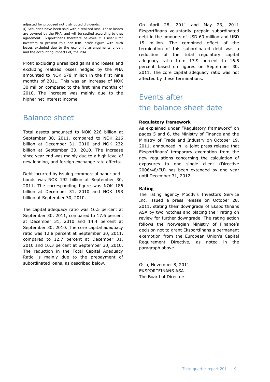adjusted for proposed not distributed dividends.

4) Securities have been sold with a realized loss. These losses are covered by the PHA, and will be settled according to that agreement. Eksportfinans therefore believes it is useful for investors to present this non-IFRS profit figure with such losses excluded due to the economic arrangements under, and the accounting impacts of, the PHA.

Profit excluding unrealized gains and losses and excluding realized losses hedged by the PHA amounted to NOK 678 million in the first nine months of 2011. This was an increase of NOK 30 million compared to the first nine months of 2010. The increase was mainly due to the higher net interest income.

#### Balance sheet

Total assets amounted to NOK 226 billion at September 30, 2011, compared to NOK 216 billion at December 31, 2010 and NOK 232 billion at September 30, 2010. The increase since year end was mainly due to a high level of new lending, and foreign exchange rate effects.

Debt incurred by issuing commercial paper and bonds was NOK 192 billion at September 30, 2011. The corresponding figure was NOK 186 billion at December 31, 2010 and NOK 198 billion at September 30, 2010.

The capital adequacy ratio was 16.5 percent at September 30, 2011, compared to 17.6 percent at December 31, 2010 and 14.4 percent at September 30, 2010. The core capital adequacy ratio was 12.8 percent at September 30, 2011, compared to 12.7 percent at December 31, 2010 and 10.3 percent at September 30, 2010. The reduction in the Total Capital Adequacy Ratio is mainly due to the prepayment of subordinated loans, as described below.

On April 28, 2011 and May 23, 2011 Eksportfinans voluntarily prepaid subordinated debt in the amounts of USD 60 million and USD 15 million. The combined effect of the termination of this subordinated debt was a reduction of the total regulatory capital adequacy ratio from 17.9 percent to 16.5 percent based on figures on September 30, 2011. The core capital adequacy ratio was not affected by these terminations.

## Events after the balance sheet date

#### **Regulatory framework**

As explained under "Regulatory framework" on pages 5 and 6, the Ministry of Finance and the Ministry of Trade and Industry on October 19, 2011, announced in a joint press release that Eksportfinans' temporary exemption from the new regulations concerning the calculation of exposures to one single client (Directive 2006/48/EU) has been extended by one year until December 31, 2012.

#### **Rating**

The rating agency Moody's Investors Service Inc. issued a press release on October 28, 2011, stating their downgrade of Eksportfinans ASA by two notches and placing their rating on review for further downgrade. The rating action follows the Norwegian Ministry of Finance's decision not to grant Eksportfinans a permanent exemption from the European Union's Capital Requirement Directive, as noted in the paragraph above.

Oslo, November 8, 2011 EKSPORTFINANS ASA The Board of Directors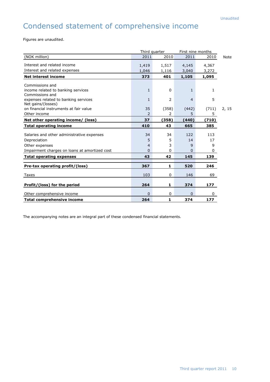## Condensed statement of comprehensive income

Figures are unaudited.

|                                               | Third quarter |             | First nine months |              |             |
|-----------------------------------------------|---------------|-------------|-------------------|--------------|-------------|
| (NOK million)                                 | 2011          | 2010        | 2011              | 2010         | <b>Note</b> |
| Interest and related income                   | 1,419         | 1,517       | 4,145             | 4,367        |             |
| Interest and related expenses                 | 1,046         | 1,116       | 3,040             | 3,272        |             |
| <b>Net interest income</b>                    | 373           | 401         | 1,105             | 1,095        |             |
| Commissions and                               |               |             |                   |              |             |
| income related to banking services            | 1             | $\mathbf 0$ | $\mathbf{1}$      | 1            |             |
| Commissions and                               |               |             |                   |              |             |
| expenses related to banking services          | 1             | 2           | $\overline{4}$    | 5            |             |
| Net gains/(losses)                            |               |             |                   |              |             |
| on financial instruments at fair value        | 35            | (358)       | (442)             | (711)        | 2, 15       |
| Other income                                  | 2             | 2           | 5                 | 5            |             |
| Net other operating income/ (loss)            | 37            | (358)       | (440)             | (710)        |             |
| <b>Total operating income</b>                 | 410           | 43          | 665               | 385          |             |
|                                               | 34            | 34          | 122               | 113          |             |
| Salaries and other administrative expenses    |               |             |                   |              |             |
| Depreciation                                  | 5             | 5           | 14                | 17           |             |
| Other expenses                                | 4             | 3           | 9                 | 9            |             |
| Impairment charges on loans at amortized cost | $\Omega$      | 0           | $\Omega$          | 0            |             |
| <b>Total operating expenses</b>               | 43            | 42          | 145               | 139          |             |
| Pre-tax operating profit/(loss)               | 367           | 1           | 520               | 246          |             |
|                                               |               |             |                   |              |             |
| Taxes                                         | 103           | 0           | 146               | 69           |             |
| Profit/(loss) for the period                  | 264           | 1           | 374               | 177          |             |
| Other comprehensive income                    | $\Omega$      | 0           | $\Omega$          | $\mathbf{0}$ |             |
| <b>Total comprehensive income</b>             | 264           | 1           | 374               | 177          |             |

The accompanying notes are an integral part of these condensed financial statements.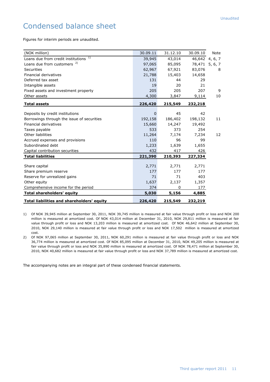## Condensed balance sheet

Figures for interim periods are unaudited.

| (NOK million)                              | 30.09.11 | 31.12.10 | 30.09.10       | Note |
|--------------------------------------------|----------|----------|----------------|------|
| Loans due from credit institutions 1)      | 39,945   | 43,014   | 46,642 4, 6, 7 |      |
| Loans due from customers <sup>2)</sup>     | 97,065   | 85,095   | 78,471 5, 6, 7 |      |
| <b>Securities</b>                          | 62,967   | 67,921   | 83,076         | 8    |
| Financial derivatives                      | 21,788   | 15,403   | 14,658         |      |
| Deferred tax asset                         | 131      | 44       | 29             |      |
| Intangible assets                          | 19       | 20       | 21             |      |
| Fixed assets and investment property       | 205      | 205      | 207            | 9    |
| Other assets                               | 4,300    | 3,847    | 9,114          | 10   |
| <b>Total assets</b>                        | 226,420  | 215,549  | 232,218        |      |
|                                            |          |          |                |      |
| Deposits by credit institutions            | $\Omega$ | 45       | 42             |      |
| Borrowings through the issue of securities | 192,158  | 186,402  | 198,132        | 11   |
| Financial derivatives                      | 15,660   | 14,247   | 19,492         |      |
| Taxes payable                              | 533      | 373      | 254            |      |
| Other liabilities                          | 11,264   | 7,174    | 7,234          | 12   |
| Accrued expenses and provisions            | 110      | 96       | 99             |      |
| Subordinated debt                          | 1,233    | 1,639    | 1,655          |      |
| Capital contribution securities            | 432      | 417      | 426            |      |
| <b>Total liabilities</b>                   | 221,390  | 210,393  | 227,334        |      |
|                                            |          |          |                |      |
| Share capital                              | 2,771    | 2,771    | 2,771          |      |
| Share premium reserve                      | 177      | 177      | 177            |      |
| Reserve for unrealized gains               | 71       | 71       | 403            |      |
| Other equity                               | 1,637    | 2,137    | 1,357          |      |
| Comprehensive income for the period        | 374      | 0        | 177            |      |
| <b>Total shareholders' equity</b>          | 5,030    | 5,156    | 4,885          |      |
| Total liabilities and shareholders' equity | 226,420  | 215,549  | 232,219        |      |

1) Of NOK 39,945 million at September 30, 2011, NOK 39,745 million is measured at fair value through profit or loss and NOK 200 million is measured at amortized cost. Of NOK 43,014 million at December 31, 2010, NOK 29,811 million is measured at fair value through profit or loss and NOK 13,203 million is measured at amortized cost. Of NOK 46,642 million at September 30, 2010, NOK 29,140 million is measured at fair value through profit or loss and NOK 17,502 million is measured at amortized cost.

2) Of NOK 97,065 million at September 30, 2011, NOK 60,291 million is measured at fair value through profit or loss and NOK 36,774 million is measured at amortized cost. Of NOK 85,095 million at December 31, 2010, NOK 49,205 million is measured at fair value through profit or loss and NOK 35,890 million is measured at amortized cost. Of NOK 78,471 million at September 30, 2010, NOK 40,682 million is measured at fair value through profit or loss and NOK 37,789 million is measured at amortized cost.

The accompanying notes are an integral part of these condensed financial statements.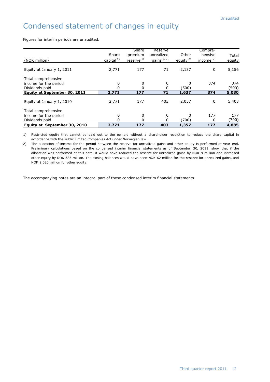## Condensed statement of changes in equity

Figures for interim periods are unaudited.

|                              |                       | <b>Share</b>    | Reserve      |              | Compre-      |        |
|------------------------------|-----------------------|-----------------|--------------|--------------|--------------|--------|
|                              | Share                 | premium         | unrealized   | Other        | hensive      |        |
|                              |                       |                 |              |              |              | Total  |
| (NOK million)                | capital <sup>1)</sup> | reserve $^{1)}$ | gains $1, 2$ | equity $2$ ) | income $2$ ) | equity |
|                              |                       |                 |              |              |              |        |
| Equity at January 1, 2011    | 2,771                 | 177             | 71           | 2,137        | 0            | 5,156  |
| Total comprehensive          |                       |                 |              |              |              |        |
| income for the period        | 0                     | 0               | 0            | $\Omega$     | 374          | 374    |
| Dividends paid               | 0                     |                 |              | (500)        |              | (500)  |
| Equity at September 30, 2011 | 2,771                 | 177             | 71           | 1,637        | 374          | 5,030  |
|                              |                       |                 |              |              |              |        |
| Equity at January 1, 2010    | 2,771                 | 177             | 403          | 2,057        | 0            | 5,408  |
|                              |                       |                 |              |              |              |        |
| Total comprehensive          |                       |                 |              |              |              |        |
| income for the period        | 0                     | 0               | 0            | $\Omega$     | 177          | 177    |
| Dividends paid               | $\Omega$              | 0               | O            | (700)        | 0            | (700)  |
| Equity at September 30, 2010 | 2,771                 | 177             | 403          | 1,357        | 177          | 4,885  |

1) Restricted equity that cannot be paid out to the owners without a shareholder resolution to reduce the share capital in accordance with the Public Limited Companies Act under Norwegian law.

2) The allocation of income for the period between the reserve for unrealized gains and other equity is performed at year -end. Preliminary calculations based on the condensed interim financial statements as of September 30, 2011, show that if the allocation was performed at this date, it would have reduced the reserve for unrealized gains by NOK 9 million and increased other equity by NOK 383 million. The closing balances would have been NOK 62 million for the reserve for unrealized gains, and NOK 2,020 million for other equity.

The accompanying notes are an integral part of these condensed interim financial statements.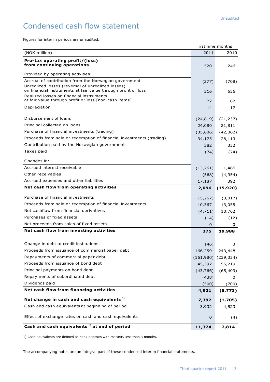## Condensed cash flow statement

Figures for interim periods are unaudited.

|                                                                                                                                                                                    | First nine months |            |
|------------------------------------------------------------------------------------------------------------------------------------------------------------------------------------|-------------------|------------|
| (NOK million)                                                                                                                                                                      | 2011              | 2010       |
| Pre-tax operating profit/(loss)                                                                                                                                                    |                   |            |
| from continuing operations                                                                                                                                                         | 520               | 246        |
| Provided by operating activities:                                                                                                                                                  |                   |            |
| Accrual of contribution from the Norwegian government                                                                                                                              | (277)             | (708)      |
| Unrealized losses (reversal of unrealized losses)<br>on financial instruments at fair value through profit or loss                                                                 | 316               | 656        |
| Realized losses on financial instruments<br>at fair value through profit or loss [non-cash items]                                                                                  | 27                | 82         |
| Depreciation                                                                                                                                                                       | 14                | 17         |
| Disbursement of loans                                                                                                                                                              | (24, 819)         | (21, 237)  |
| Principal collected on loans                                                                                                                                                       | 24,080            | 21,811     |
| Purchase of financial investments (trading)                                                                                                                                        | (35,606)          | (42,062)   |
| Proceeds from sale or redemption of financial investments (trading)                                                                                                                | 34,175            | 28,113     |
| Contribution paid by the Norwegian government                                                                                                                                      | 382               | 332        |
| Taxes paid                                                                                                                                                                         | (74)              | (74)       |
| Changes in:                                                                                                                                                                        |                   |            |
| Accrued interest receivable                                                                                                                                                        |                   |            |
| Other receivables                                                                                                                                                                  | (13, 261)         | 1,466      |
|                                                                                                                                                                                    | (568)             | (4, 954)   |
| Accrued expenses and other liabilities                                                                                                                                             | 17,187            | 392        |
| Net cash flow from operating activities                                                                                                                                            | 2,096             | (15, 920)  |
| Purchase of financial investments                                                                                                                                                  | (5,267)           | (3,817)    |
| Proceeds from sale or redemption of financial investments                                                                                                                          | 10,367            | 13,055     |
| Net cashflow from financial derivatives                                                                                                                                            | (4,711)           | 10,762     |
| Purchases of fixed assets                                                                                                                                                          | (14)              | (12)       |
| Net proceeds from sales of fixed assets                                                                                                                                            | 0                 | 0          |
| Net cash flow from investing activities                                                                                                                                            | 375               | 19,988     |
|                                                                                                                                                                                    |                   |            |
| Change in debt to credit institutions                                                                                                                                              | (46)              | 3          |
| Proceeds from issuance of commercial paper debt                                                                                                                                    | 166,259           | 243,448    |
| Repayments of commercial paper debt                                                                                                                                                | (161,980)         | (239, 334) |
| Proceeds from issuance of bond debt                                                                                                                                                | 45,392            | 56,219     |
| Principal payments on bond debt                                                                                                                                                    | (43, 766)         | (65, 409)  |
| Repayments of subordinated debt                                                                                                                                                    | (438)             | 0          |
| Dividends paid                                                                                                                                                                     | (500)             | (700)      |
| Net cash flow from financing activities                                                                                                                                            | 4,921             | (5, 773)   |
| Net change in cash and cash equivalents $1$                                                                                                                                        | 7,392             | (1,705)    |
| Cash and cash equivalents at beginning of period                                                                                                                                   | 3,932             | 4,523      |
|                                                                                                                                                                                    |                   |            |
| Effect of exchange rates on cash and cash equivalents                                                                                                                              | 0                 | (4)        |
| Cash and cash equivalents <sup>1)</sup> at end of period                                                                                                                           | 11,324            | 2,814      |
| 1) Cash equivalents are defined as bank deposits with maturity less than 3 months.<br>The accompanying notes are an integral part of these condensed interim financial statements. |                   |            |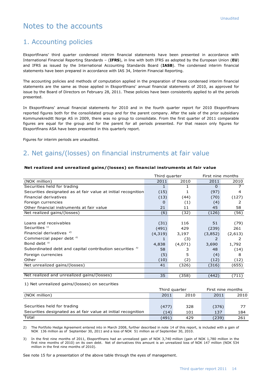## Notes to the accounts

#### 1. Accounting policies

Eksportfinans' third quarter condensed interim financial statements have been presented in accordance with International Financial Reporting Standards – (**IFRS**), in line with both IFRS as adopted by the European Union (**EU**) and IFRS as issued by the International Accounting Standards Board (**IASB**). The condensed interim financial statements have been prepared in accordance with IAS 34, Interim Financial Reporting.

The accounting policies and methods of computation applied in the preparation of these condensed interim financial statements are the same as those applied in Eksportfinans' annual financial statements of 2010, as approved for issue by the Board of Directors on February 28, 2011. These policies have been consistently applied to all the periods presented.

In Eksportfinans' annual financial statements for 2010 and in the fourth quarter report for 2010 Eksportfinans reported figures both for the consolidated group and for the parent company. After the sale of the prior subsidiary Kommunekreditt Norge AS in 2009, there was no group to consolidate. From the first quarter of 2011 comparable figures are equal for the group and for the parent for all periods presented. For that reason only figures for Eksportfinans ASA have been presented in this quarterly report.

Figures for interim periods are unaudited.

## 2. Net gains/(losses) on financial instruments at fair value

#### **Net realized and unrealized gains/(losses) on financial instruments at fair value**

|                                                                     | Third quarter |         | First nine months |         |  |
|---------------------------------------------------------------------|---------------|---------|-------------------|---------|--|
| (NOK million)                                                       | 2011          | 2010    | 2011              | 2010    |  |
| Securities held for trading                                         | 1             |         | $\Omega$          |         |  |
| Securities designated as at fair value at initial recognition       | (15)          |         | (97)              | 4       |  |
| Financial derivatives                                               | (13)          | (44)    | (70)              | (127)   |  |
| Foreign currencies                                                  | 0             | (1)     | (4)               | 2       |  |
| Other financial instruments at fair value                           | 21            | 11      | 45                | 58      |  |
| Net realized gains/(losses)                                         | (6)           | (32)    | (126)             | (56)    |  |
|                                                                     |               |         |                   |         |  |
| Loans and receivables                                               | (31)          | 116     | 51                | (79)    |  |
| Securities $1$                                                      | (491)         | 429     | (239)             | 261     |  |
| Financial derivatives $2)$                                          | (4, 319)      | 3,197   | (3,852)           | (2,613) |  |
| Commercial paper debt <sup>3)</sup>                                 | 1             | (3)     | 2                 | 2       |  |
| Bond debt <sup>3)</sup>                                             | 4,838         | (4,071) | 3,690             | 1,792   |  |
| Subordinated debt and capital contribution securities <sup>3)</sup> | 58            | 3       | 48                | (14)    |  |
| Foreign currencies                                                  | (5)           | 5       | (4)               | 8       |  |
| Other                                                               | (10)          | (2)     | (12)              | (12)    |  |
| Net unrealized gains/(losses)                                       | 41            | (326)   | (316)             | (655)   |  |
|                                                                     |               |         |                   |         |  |
| Net realized and unrealized gains/(losses)                          | 35            | (358)   | (442)             | (711)   |  |

1) Net unrealized gains/(losses) on securities

|                                                               | Third quarter |      | First nine months |      |
|---------------------------------------------------------------|---------------|------|-------------------|------|
| (NOK million)                                                 |               | 2010 | 2011              | 2010 |
|                                                               |               |      |                   |      |
| Securities held for trading                                   | (477)         | 328  | (376)             |      |
| Securities designated as at fair value at initial recognition | (14)          | 101  | 137               | 184  |
| Total                                                         | (491)         | 429  | (239)             | 261  |

2) The Portfolio Hedge Agreement entered into in March 2008, further described in note 14 of this report, is included with a gain of NOK 136 million as of September 30, 2011 and a loss of NOK 51 million as of September 30, 2010.

3) In the first nine months of 2011, Eksportfinans had an unrealized gain of NOK 3,740 million (gain of NOK 1,780 million in the first nine months of 2010) on its own debt. Net of derivatives this amount is an unrealized loss of NOK 147 million (NOK 534 million in the first nine months of 2010).

See note 15 for a presentation of the above table through the eyes of management.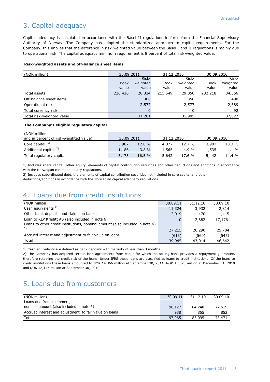## 3. Capital adequacy

Capital adequacy is calculated in accordance with the Basel II regulations in force from the Financial Supervisory Authority of Norway. The Company has adopted the standardized approach to capital requirements. For the Company, this implies that the difference in risk-weighted value between the Basel I and II regulations is mainly due to operational risk. The capital adequacy minimum requirement is 8 percent of total risk-weighted value.

#### **Risk-weighted assets and off-balance sheet items**

| (NOK million)             | 30.09.2011  |          | 31.12.2010 |          | 30.09.2010  |          |
|---------------------------|-------------|----------|------------|----------|-------------|----------|
|                           |             | Risk-    |            | Risk-    |             | Risk-    |
|                           | <b>Book</b> | weighted | Book       | weighted | <b>Book</b> | weighted |
|                           | value       | value    | value      | value    | value       | value    |
| Total assets              | 226,420     | 28,324   | 215,549    | 29,050   | 232,218     | 34,556   |
| Off-balance sheet items   |             | 360      |            | 358      |             | 490      |
| Operational risk          |             | 2,577    |            | 2,577    |             | 2,689    |
| Total currency risk       |             | 0        |            | 0        |             | 92       |
| Total risk-weighted value |             | 31,261   |            | 31,985   |             | 37,827   |

#### **The Company's eligible regulatory capital**

| (NOK million                           |            |        |            |           |            |        |
|----------------------------------------|------------|--------|------------|-----------|------------|--------|
| and in percent of risk-weighted value) | 30.09.2011 |        | 31.12.2010 |           | 30.09.2010 |        |
| Core capital $1$                       | 3,987      | 12.8 % | 4,077      | 12.7 %    | 3,907      | 10.3%  |
| Additional capital <sup>2)</sup>       | 1,186      | 3.8%   | 1,565      | 4.9 %     | 1,535      | 4.1 %  |
| Total regulatory capital               | 5,173      | 16.5%  | 5,642      | $17.6 \%$ | 5,442      | 14.4 % |

1) Includes share capital, other equity, elements of capital contribution securities and other deductions and additions in accordance with the Norwegian capital adequacy regulations.

2) Includes subordinated debt, the elements of capital contribution securities not included in core capital and other deductions/additions in accordance with the Norwegian capital adequacy regulations.

#### 4. Loans due from credit institutions

| (NOK million)                                                                | 30.09.11 | 31.12.10 | 30.09.10 |
|------------------------------------------------------------------------------|----------|----------|----------|
| Cash equivalents <sup>1)</sup>                                               | 11,324   | 3,932    | 2,814    |
| Other bank deposits and claims on banks                                      | 2,019    | 470      | 1,415    |
| Loan to KLP Kreditt AS (also included in note 6)                             | 0        | 12,882   | 17,176   |
| Loans to other credit institutions, nominal amount (also included in note 6) |          |          |          |
| 2)                                                                           | 27,215   | 26,290   | 25,784   |
| Accrued interest and adjustment to fair value on loans                       | (613)    | (560)    | (547)    |
| Total                                                                        | 39,945   | 43,014   | 46,642   |

1) Cash equivalents are defined as bank deposits with maturity of less than 3 months.

2) The Company has acquired certain loan agreements from banks for which the selling bank provides a repayment guarantee, therefore retaining the credit risk of the loans. Under IFRS these loans are classified as loans to credit institutions. Of the loans to credit institutions these loans amounted to NOK 14,366 million at September 30, 2011, NOK 13,073 million at December 31, 2010 and NOK 12,146 million at September 30, 2010.

#### 5. Loans due from customers

| (NOK million)                                          | 30.09.11 | 31.12.10 | 30.09.10 |
|--------------------------------------------------------|----------|----------|----------|
| Loans due from customers,                              |          |          |          |
| nominal amount (also included in note 6)               | 96,127   | 84,240   | 77,619   |
| Accrued interest and adjustment to fair value on loans | 938      | 855      | 852      |
| Total                                                  | 97,065   | 85,095   | 78,471   |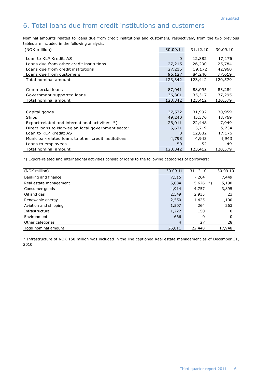## 6. Total loans due from credit institutions and customers

Nominal amounts related to loans due from credit institutions and customers, respectively, from the two previous tables are included in the following analysis.

| (NOK million)                                        | 30.09.11 | 31.12.10 | 30.09.10 |
|------------------------------------------------------|----------|----------|----------|
| Loan to KLP Kreditt AS                               | $\Omega$ | 12,882   | 17,176   |
| Loans due from other credit institutions             | 27,215   | 26,290   | 25,784   |
| Loans due from credit institutions                   | 27,215   | 39,172   | 42,960   |
| Loans due from customers                             | 96,127   | 84,240   | 77,619   |
| Total nominal amount                                 | 123,342  | 123,412  | 120,579  |
|                                                      |          |          |          |
| Commercial loans                                     | 87,041   | 88,095   | 83,284   |
| Government-supported loans                           | 36,301   | 35,317   | 37,295   |
| Total nominal amount                                 | 123,342  | 123,412  | 120,579  |
|                                                      |          |          |          |
| Capital goods                                        | 37,572   | 31,992   | 30,959   |
| Ships                                                | 49,240   | 45,376   | 43,769   |
| Export-related and international activities *)       | 26,011   | 22,448   | 17,949   |
| Direct loans to Norwegian local government sector    | 5,671    | 5,719    | 5,734    |
| Loan to KLP Kreditt AS                               | 0        | 12,882   | 17,176   |
| Municipal-related loans to other credit institutions | 4,798    | 4,943    | 4,943    |
| Loans to employees                                   | 50       | 52       | 49       |
| Total nominal amount                                 | 123,342  | 123,412  | 120,579  |

\*) Export-related and international activities consist of loans to the following categories of borrowers:

| (NOK million)          | 30.09.11       | 31.12.10    | 30.09.10 |
|------------------------|----------------|-------------|----------|
| Banking and finance    | 7,515          | 7,264       | 7,449    |
| Real estate management | 5,084          | 5,626<br>*) | 5,190    |
| Consumer goods         | 4,914          | 4,757       | 3,895    |
| Oil and gas            | 2,549          | 2,935       | 23       |
| Renewable energy       | 2,550          | 1,425       | 1,100    |
| Aviation and shipping  | 1,507          | 264         | 263      |
| Infrastructure         | 1,222          | 150         | 0        |
| Environment            | 666            | 0           | 0        |
| Other categories       | $\overline{4}$ | 27          | 28       |
| Total nominal amount   | 26,011         | 22,448      | 17,948   |

\* Infrastructure of NOK 150 million was included in the line captioned Real estate management as of December 31, 2010.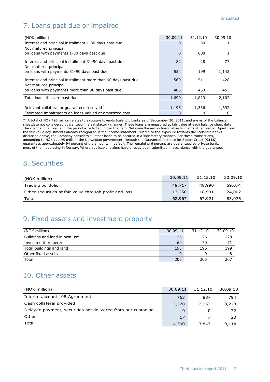## 7. Loans past due or impaired

| (NOK million)                                                                          | 30.09.11 | 31.12.10 | 30.09.10 |
|----------------------------------------------------------------------------------------|----------|----------|----------|
| Interest and principal installment 1-30 days past due                                  | $\Omega$ | 30       |          |
| Not matured principal                                                                  |          |          |          |
| on loans with payments 1-30 days past due                                              | $\Omega$ | 608      |          |
| Interest and principal installment 31-90 days past due<br>Not matured principal        | 82       | 28       | 77       |
| on loans with payments 31-90 days past due                                             | 554      | 199      | 1,142    |
| Interest and principal installment more than 90 days past due<br>Not matured principal | 569      | 511      | 428      |
| on loans with payments more than 90 days past due                                      | 485      | 453      | 453      |
| Total loans that are past due                                                          | 1,690    | 1,829    | 2,102    |
|                                                                                        |          |          |          |
| Relevant collateral or guarantees received *)                                          | 1,195    | 1,336    | 1,692    |
| Estimated impairments on loans valued at amortized cost                                | 0        | 0        | $\Omega$ |

\*) A total of NOK 495 million relates to exposure towards Icelandic banks as of September 30, 2011, and are as of the balance sheetdate not considered guaranteed in a satisfactory manner. These loans are measured at fair value at each balance sheet date. The change in fair value in the period is reflected in the line item 'Net gains/losses on financial instruments at fair value'. Apart from the fair value adjustments already recognized in the income statement, related to the exposure towards the Icelandic banks discussed above, the Company considers all other loans to be secured in a satisfactory manner. For these transactions, amounting to NOK 1,1195 million, the Norwegian government, through the Guarantee Institute for Export Credit (**GIEK**), guarantees approximately 94 percent of the amounts in default. The remaining 6 percent are guaranteed by private banks, most of them operating in Norway. Where applicable, claims have already been submitted in accordance with the guarantees.

#### 8. Securities

| (NOK million)                                          | 30.09.11 | 31.12.10 | 30.09.10 |
|--------------------------------------------------------|----------|----------|----------|
| Trading portfolio                                      | 49,717   | 48,990   | 59,074   |
| Other securities at fair value through profit and loss | 13,250   | 18,931   | 24,002   |
| Total                                                  | 62,967   | 67.921   | 83,076   |

#### 9. Fixed assets and investment property

| (NOK million)                 | 30.09.11 | 31.12.10 | 30.09.10 |
|-------------------------------|----------|----------|----------|
| Buildings and land in own use | 126      | 126      | 128      |
| Investment property           | 69       | 70       |          |
| Total buildings and land      | 195      | 196      | 199      |
| Other fixed assets            | 10       |          |          |
| Total                         | 205      | 205      | 207      |

#### 10. Other assets

| (NOK million)                                                | 30.09.11 | 31.12.10 | 30.09.10 |
|--------------------------------------------------------------|----------|----------|----------|
| Interim account 108-Agreement                                | 763      | 887      | 794      |
| Cash collateral provided                                     | 3,520    | 2,953    | 8,228    |
| Delayed payment, securities not delivered from our custodian | 0        | 0        | 72       |
| Other                                                        | 17       |          | 20       |
| Total                                                        | 4,300    | 3,847    | 9,114    |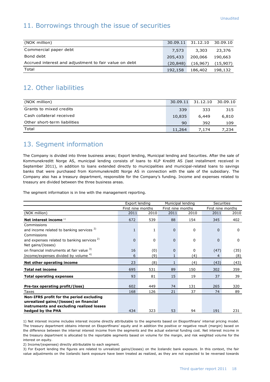#### 11. Borrowings through the issue of securities

| (NOK million)                                         |           | 30.09.11 31.12.10 30.09.10 |          |
|-------------------------------------------------------|-----------|----------------------------|----------|
| Commercial paper debt                                 | 7,573     | 3,303                      | 23,376   |
| Bond debt                                             | 205,433   | 200,066                    | 190.663  |
| Accrued interest and adjustment to fair value on debt | (20, 848) | (16, 967)                  | (15,907) |
| Total                                                 | 192,158   | 186,402                    | 198,132  |

## 12. Other liabilities

| (NOK million)                | 30.09.11 | 31.12.10 30.09.10 |       |
|------------------------------|----------|-------------------|-------|
| Grants to mixed credits      | 339      | 333               | 315   |
| Cash collateral received     | 10,835   | 6,449             | 6,810 |
| Other short-term liabilities | 90       | 392               | 109   |
| Total                        | 11,264   | 7.174             | 7,234 |

#### 13. Segment information

The Company is divided into three business areas; Export lending, Municipal lending and Securities. After the sale of Kommunekreditt Norge AS, municipal lending consists of loans to KLP Kreditt AS (last installment received in September 2011), in addition to loans extended directly to municipalities and municipal-related loans to savings banks that were purchased from Kommunekreditt Norge AS in connection with the sale of the subsidiary. The Company also has a treasury department, responsible for the Company's funding. Income and expenses related to treasury are divided between the three business areas.

The segment information is in line with the management reporting.

|                                                        | Export lending |                   |          | Municipal lending | <b>Securities</b> |             |
|--------------------------------------------------------|----------------|-------------------|----------|-------------------|-------------------|-------------|
|                                                        |                | First nine months |          | First nine months | First nine months |             |
| (NOK million)                                          | 2011           | 2010              | 2011     | 2010              | 2011              | 2010        |
| Net interest income $1$                                | 672            | 539               | 88       | 154               | 345               | 402         |
| Commissions                                            |                |                   |          |                   |                   |             |
| and income related to banking services <sup>2)</sup>   | $\mathbf{1}$   | 1                 | $\Omega$ | 0                 | $\Omega$          | $\mathbf 0$ |
| Commissions                                            |                |                   |          |                   |                   |             |
| and expenses related to banking services <sup>2)</sup> | $\Omega$       | 0                 | $\Omega$ | 0                 | $\Omega$          | $\Omega$    |
| Net gains/(losses)                                     |                |                   |          |                   |                   |             |
| on financial instruments at fair value 3)              | 16             | (0)               | $\Omega$ | $\Omega$          | (47)              | (35)        |
| Income/expenses divided by volume 4)                   | 6              | (9)               |          | (4)               | 4                 | (8)         |
| Net other operating income                             | 23             | (8)               | 1        | (4)               | (43)              | (43)        |
| <b>Total net income</b>                                | 695            | 531               | 89       | 150               | 302               | 359         |
| <b>Total operating expenses</b>                        | 93             | 81                | 15       | 19                | 37                | 39          |
|                                                        |                |                   |          |                   |                   |             |
| Pre-tax operating profit/(loss)                        | 602            | 449               | 74       | 131               | 265               | 320         |
| Taxes                                                  | 168            | 126               | 21       | 37                | 74                | 89          |
| Non-IFRS profit for the period excluding               |                |                   |          |                   |                   |             |
| unrealized gains/(losses) on financial                 |                |                   |          |                   |                   |             |
| instruments and excluding realized losses              |                |                   |          |                   |                   |             |
| hedged by the PHA                                      | 434            | 323               | 53       | 94                | 191               | 231         |

1) Net interest income includes interest income directly attributable to the segments based on Eksportfinans' internal pricing model. The treasury department obtains interest on Eksportfinans' equity and in addition the positive or negative result (margin) based on the difference between the internal interest income from the segments and the actual external funding cost. Net interest income in the treasury department is allocated to the reportable segments based on volume for the margin, and risk weighted volume for the interest on equity.

2) Income/(expenses) directly attributable to each segment.

3) For Export lending the figures are related to unrealized gains/(losses) on the Icelandic bank exposure. In this context, the fair value adjustments on the Icelandic bank exposure have been treated as realized, as they are not expected to be reversed towards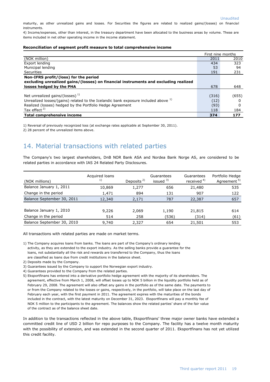maturity, as other unrealized gains and losses. For Securities the figures are related to realized gains/(losses) on financial instruments.

4) Income/expenses, other than interest, in the treasury department have been allocated to the business areas by volume. These are items included in net other operating income in the income statement.

#### **Reconciliation of segment profit measure to total comprehensive income**

|                                                                                               | First nine months |       |
|-----------------------------------------------------------------------------------------------|-------------------|-------|
| (NOK million)                                                                                 | 2011              | 2010  |
| Export lending                                                                                | 434               | 323   |
| Municipal lending                                                                             | 53                | 94    |
| Securities                                                                                    | 191               | 231   |
| Non-IFRS profit/(loss) for the period                                                         |                   |       |
| excluding unrealized gains/(losses) on financial instruments and excluding realized           |                   |       |
| losses hedged by the PHA                                                                      | 678               | 648   |
|                                                                                               |                   |       |
| Net unrealized gains/(losses) $1$                                                             | (316)             | (655) |
| Unrealized losses/(gains) related to the Icelandic bank exposure included above <sup>1)</sup> | (12)              |       |
| Realized (losses) hedged by the Portfolio Hedge Agreement                                     | (93)              | 0     |
| Tax effect $2$ )                                                                              | 118               | 184   |
| <b>Total comprehensive income</b>                                                             | 374               | 177   |

1) Reversal of previously recognized loss (at exchange rates applicable at September 30, 2011).

2) 28 percent of the unrealized items above.

#### 14. Material transactions with related parties

The Company's two largest shareholders, DnB NOR Bank ASA and Nordea Bank Norge AS, are considered to be related parties in accordance with IAS 24 Related Party Disclosures.

| (NOK millions)             | Acquired loans<br>1) | Deposits <sup>2)</sup> | Guarantees<br>issued 3) | Guarantees<br>received <sup>4)</sup> | Portfolio Hedge<br>Agreement <sup>5)</sup> |
|----------------------------|----------------------|------------------------|-------------------------|--------------------------------------|--------------------------------------------|
| Balance January 1, 2011    | 10,869               | 1,277                  | 656                     | 21,480                               | 535                                        |
| Change in the period       | 1,471                | 894                    | 131                     | 907                                  | 122                                        |
| Balance September 30, 2011 | 12,340               | 2,171                  | 787                     | 22,387                               | 657                                        |
|                            |                      |                        |                         |                                      |                                            |
| Balance January 1, 2010    | 9,226                | 2,069                  | 1,190                   | 21,815                               | 614                                        |
| Change in the period       | 514                  | 258                    | (536)                   | (314)                                | (61)                                       |
| Balance September 30, 2010 | 9,740                | 2,327                  | 654                     | 21,501                               | 553                                        |

All transactions with related parties are made on market terms.

- 1) The Company acquires loans from banks. The loans are part of the Company's ordinary lending activity, as they are extended to the export industry. As the selling banks provide a guarantee for the loans, not substantially all the risk and rewards are transferred to the Company, thus the loans are classified as loans due from credit institutions in the balance sheet.
- 2) Deposits made by the Company.
- 3) Guarantees issued by the Company to support the Norwegian export industry.
- 4) Guarantees provided to the Company from the related parties.
- 5) Eksportfinans has entered into a derivative portfolio hedge agreement with the majority of its shareholders. The agreement, effective from March 1, 2008, will offset losses up to NOK 5 billion in the liquidity portfolio held as of February 29, 2008. The agreement will also offset any gains in the portfolio as of the same date. The payments to or from the Company related to the losses or gains, respectively, in the portfolio, will take place on the last day of February each year, with the first payment in 2011. The agreement expires with the maturities of the bonds included in the contract, with the latest maturity on December 31, 2023. Eksportfinans will pay a monthly fee of NOK 5 million to the participants to the agreement. The balances show the related parties' share of the fair value of the contract as of the balance sheet date.

In addition to the transactions reflected in the above table, Eksportfinans' three major owner banks have extended a committed credit line of USD 2 billion for repo purposes to the Company. The facility has a twelve month maturity with the possibility of extension, and was extended in the second quarter of 2011. Eksportfinans has not yet utilized this credit facility.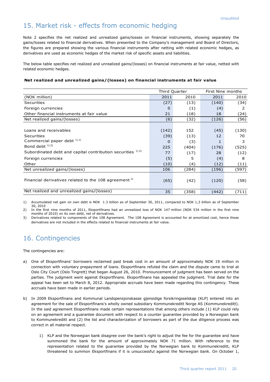#### 15. Market risk - effects from economic hedging

Note 2 specifies the net realized and unrealized gains/losses on financial instruments, showing separately the gains/losses related to financial derivatives. When presented to the Company's management and Board of Directors, the figures are prepared showing the various financial instruments after netting with related economic hedges, as derivatives are used as economic hedges of the market risk of specific assets and liabilities.

The below table specifies net realized and unrealized gains/(losses) on financial instruments at fair value, netted with related economic hedges.

#### **Net realized and unrealized gains/(losses) on financial instruments at fair value**

|                                                             | Third Quarter |       | First Nine months |       |
|-------------------------------------------------------------|---------------|-------|-------------------|-------|
| (NOK million)                                               | 2011          | 2010  | 2011              | 2010  |
| Securities                                                  | (27)          | (13)  | (140)             | (34)  |
| Foreign currencies                                          | $\Omega$      | (1)   | (4)               | 2     |
| Other financial instruments at fair value                   | 21            | (18)  | 18                | (24)  |
| Net realized gains/(losses)                                 | (6)           | (32)  | (126)             | (56)  |
|                                                             |               |       |                   |       |
| Loans and receivables                                       | (142)         | 152   | (45)              | (130) |
| Securities                                                  | (39)          | (13)  | 12                | 70    |
| Commercial paper debt 1) 2)                                 | 0             | (3)   |                   | 3     |
| Bond debt $^{1/2}$                                          | 225           | (404) | (176)             | (525) |
| Subordinated debt and capital contribution securities 1) 2) | 77            | (17)  | 28                | (12)  |
| Foreign currencies                                          | (5)           | 5     | (4)               | 8     |
| Other                                                       | (10)          | (4)   | (12)              | (11)  |
| Net unrealized gains/(losses)                               | 106           | (284) | (196)             | (597) |
| Financial derivatives related to the 108 agreement $3$      | (65)          | (42)  | (120)             | (58)  |
| Net realized and unrealized gains/(losses)                  | 35            | (358) | (442)             | (711) |

1) Accumulated net gain on own debt is NOK 1.3 billion as of September 30, 2011, compared to NOK 1,3 billion as of September 30, 2010

2) In the first nine months of 2011, Eksportfinans had an unrealized loss of NOK 147 million (NOK 534 million in the first nine months of 2010) on its own debt, net of derivatives.

Derivatives related to components of the 108 Agreement. The 108 Agreement is accounted for at amortized cost, hence these derivatives are not included in the effects related to financial instruments at fair value.

## 16. Contingencies

The contingencies are:

- a) One of Eksportfinans' borrowers reclaimed paid break cost in an amount of approximately NOK 19 million in connection with voluntary prepayment of loans. Eksportfinans refuted the claim and the dispute came to trial at Oslo City Court (Oslo Tingrett) that began August 26, 2010. Pronouncement of judgment has been served on the parties. The judgment went against Eksportfinans. Eksportfinans has appealed the judgment. Trial date for the appeal has been set to March 8, 2012. Appropriate accruals have been made regarding this contingency. These accruals have been made in earlier periods.
- b) In 2009 Eksportfinans and Kommunal Landspensjonskasse gjensidige forsikringsselskap (KLP) entered into an agreement for the sale of Eksportfinans's wholly owned subsidiary Kommunekreditt Norge AS (Kommunekreditt). In the said agreement Eksportfinans made certain representations that among others include (1) KLP could rely on an agreement and a guarantee document with respect to a counter guarantee provided by a Norwegian bank to Kommunekreditt and (2) the list and characterization of borrowers as part of the due diligence process was correct in all material respect.
	- 1) KLP and the Norwegian bank disagree over the bank's right to adjust the fee for the guarantee and have summoned the bank for the amount of approximately NOK 71 million. With reference to the representation related to the guarantee provided by the Norwegian bank to Kommunekreditt, KLP threatened to summon Eksportfinans if it is unsuccessful against the Norwegian bank. On October 1,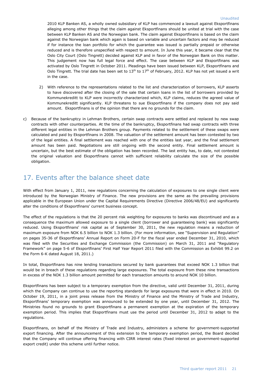2010 KLP Banken AS, a wholly owned subsidiary of KLP has commenced a lawsuit against Eksportfinans alleging among other things that the claim against Eksportfinans should be united at trial with the case between KLP Banken AS and the Norwegian bank. The claim against Eksportfinans is based on the claim against the Norwegian bank which again is based on variable and uncertain factors and may be reduced if for instance the loan portfolio for which the guarantee was issued is partially prepaid or otherwise reduced and is therefore unspecified with respect to amount. In June this year, it became clear that the Oslo City Court (Oslo Tingrett) decided against KLP and in favor of the Norwegian Bank on this matter. This judgement now has full legal force and effect. The case between KLP and Eksportfinans was activated by Oslo Tingrett in October 2011. Pleadings have been issued between KLP, Eksportfinans and Oslo Tingrett. The trial date has been set to  $13<sup>th</sup>$  to  $17<sup>th</sup>$  of February, 2012. KLP has not yet issued a writ in the case.

- 2) With reference to the representations related to the list and characterization of borrowers, KLP asserts to have discovered after the closing of the sale that certain loans in the list of borrowers provided by Kommunekreditt to KLP were incorrectly characterized which, KLP claims, reduces the agreed value of Kommunekreditt significantly. KLP threatens to sue Eksportfinans if the company does not pay said amount. Eksportfinans is of the opinion that there are no grounds for the claim.
- c) Because of the bankruptcy in Lehman Brothers, certain swap contracts were settled and replaced by new swap contracts with other counterparties. At the time of the bankruptcy, Eksportfinans had swap contracts with three different legal entities in the Lehman Brothers group. Payments related to the settlement of these swaps were calculated and paid by Eksportfinans in 2008. The valuation of the settlement amount has been contested by two of the legal entities. A final settlement was reached with one of the entities last year, and the final settlement amount has been paid. Negotiations are still ongoing with the second entity. Final settlement amount is uncertain, but the best estimate of the obligation has been recorded. The last entity has, to date, not contested the original valuation and Eksportfinans cannot with sufficient reliability calculate the size of the possible obligation.

#### 17. Events after the balance sheet date

With effect from January 1, 2011, new regulations concerning the calculation of exposures to one single client were introduced by the Norwegian Ministry of Finance. The new provisions are the same as the prevailing provisions applicable in the European Union under the Capital Requirements Directive (Directive 2006/48/EU) and significantly alter the conditions of Eksportfinans' current business concept.

The effect of the regulations is that the 20 percent risk weighting for exposures to banks was discontinued and as a consequence the maximum allowed exposure to a single client (borrower and guaranteeing bank) was significantly reduced. Using Eksportfinans' risk capital as of September 30, 2011, the new regulation means a reduction of maximum exposure from NOK 6.5 billion to NOK 1.3 billion. (For more information, see "Supervision and Regulation" on pages 35-36 of Eksportfinans' Annual Report on Form 20-F for the fiscal year ended December 31, 2010, which was filed with the Securities and Exchange Commission (the Commission) on March 31, 2011 and "Regulatory Framework" on page 5-6 of Eksportfinans' First Half Year Report 2011 filed with the Commission as Exhibit 99.2 on the Form 6-K dated August 18, 2011.)

In total, Eksportfinans has nine lending transactions secured by bank guarantees that exceed NOK 1.3 billion that would be in breach of these regulations regarding large exposures. The total exposure from these nine transactions in excess of the NOK 1.3 billion amount permitted for each transaction amounts to around NOK 10 billion.

Eksportfinans has been subject to a temporary exemption from the directive, valid until December 31, 2011, during which the Company can continue to use the reporting standards for large exposures that were in effect in 2010. On October 19, 2011, in a joint press release from the Ministry of Finance and the Ministry of Trade and Industry, Eksportfinans' temporary exemption was announced to be extended by one year, until December 31, 2012. The Ministries found no grounds to grant Eksportfinans a permanent exemption at the expiration of the temporary exemption period. This implies that Eksportfinans must use the period until December 31, 2012 to adapt to the regulations.

Eksportfinans, on behalf of the Ministry of Trade and Industry, administers a scheme for government-supported export financing. After the announcement of this extension to the temporary exemption period, the Board decided that the Company will continue offering financing with CIRR interest rates (fixed interest on government-supported export credit) under this scheme until further notice.